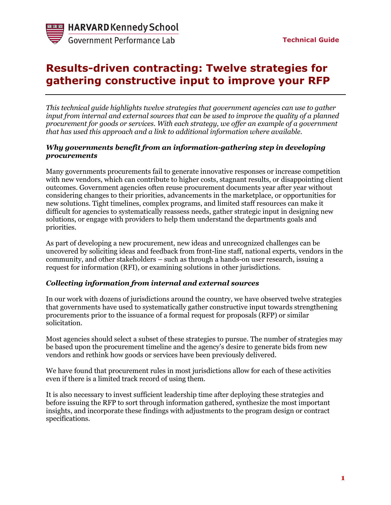# **Results-driven contracting: Twelve strategies for gathering constructive input to improve your RFP**

*This technical guide highlights twelve strategies that government agencies can use to gather input from internal and external sources that can be used to improve the quality of a planned procurement for goods or services. With each strategy, we offer an example of a government that has used this approach and a link to additional information where available.*

#### *Why governments benefit from an information-gathering step in developing procurements*

Many governments procurements fail to generate innovative responses or increase competition with new vendors, which can contribute to higher costs, stagnant results, or disappointing client outcomes. Government agencies often reuse procurement documents year after year without considering changes to their priorities, advancements in the marketplace, or opportunities for new solutions. Tight timelines, complex programs, and limited staff resources can make it difficult for agencies to systematically reassess needs, gather strategic input in designing new solutions, or engage with providers to help them understand the departments goals and priorities.

As part of developing a new procurement, new ideas and unrecognized challenges can be uncovered by soliciting ideas and feedback from front-line staff, national experts, vendors in the community, and other stakeholders – such as through a hands-on user research, issuing a request for information (RFI), or examining solutions in other jurisdictions.

#### *Collecting information from internal and external sources*

In our work with dozens of jurisdictions around the country, we have observed twelve strategies that governments have used to systematically gather constructive input towards strengthening procurements prior to the issuance of a formal request for proposals (RFP) or similar solicitation.

Most agencies should select a subset of these strategies to pursue. The number of strategies may be based upon the procurement timeline and the agency's desire to generate bids from new vendors and rethink how goods or services have been previously delivered.

We have found that procurement rules in most jurisdictions allow for each of these activities even if there is a limited track record of using them.

It is also necessary to invest sufficient leadership time after deploying these strategies and before issuing the RFP to sort through information gathered, synthesize the most important insights, and incorporate these findings with adjustments to the program design or contract specifications.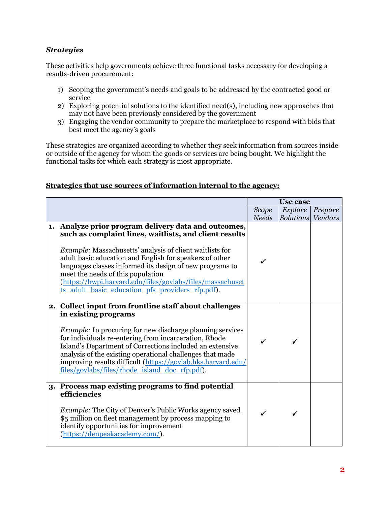## *Strategies*

These activities help governments achieve three functional tasks necessary for developing a results-driven procurement:

- 1) Scoping the government's needs and goals to be addressed by the contracted good or service
- 2) Exploring potential solutions to the identified need(s), including new approaches that may not have been previously considered by the government
- 3) Engaging the vendor community to prepare the marketplace to respond with bids that best meet the agency's goals

These strategies are organized according to whether they seek information from sources inside or outside of the agency for whom the goods or services are being bought. We highlight the functional tasks for which each strategy is most appropriate.

### **Strategies that use sources of information internal to the agency:**

|                                                                                                                                                                                                                                                                                                                                                                                                                                                                | <b>Use case</b> |           |         |
|----------------------------------------------------------------------------------------------------------------------------------------------------------------------------------------------------------------------------------------------------------------------------------------------------------------------------------------------------------------------------------------------------------------------------------------------------------------|-----------------|-----------|---------|
|                                                                                                                                                                                                                                                                                                                                                                                                                                                                | Scope           | Explore   | Prepare |
|                                                                                                                                                                                                                                                                                                                                                                                                                                                                | <b>Needs</b>    | Solutions | Vendors |
| 1. Analyze prior program delivery data and outcomes,<br>such as complaint lines, waitlists, and client results<br><i>Example:</i> Massachusetts' analysis of client waitlists for<br>adult basic education and English for speakers of other<br>languages classes informed its design of new programs to<br>meet the needs of this population<br>(https://hwpi.harvard.edu/files/govlabs/files/massachuset<br>ts adult basic education pfs providers rfp.pdf). |                 |           |         |
| 2. Collect input from frontline staff about challenges<br>in existing programs<br><i>Example:</i> In procuring for new discharge planning services<br>for individuals re-entering from incarceration, Rhode<br>Island's Department of Corrections included an extensive<br>analysis of the existing operational challenges that made<br>improving results difficult (https://govlab.hks.harvard.edu/<br>files/govlabs/files/rhode island doc rfp.pdf).         |                 |           |         |
| 3. Process map existing programs to find potential<br>efficiencies<br><i>Example:</i> The City of Denver's Public Works agency saved<br>\$5 million on fleet management by process mapping to<br>identify opportunities for improvement<br>(https://denpeakacademy.com/).                                                                                                                                                                                      | ✓               |           |         |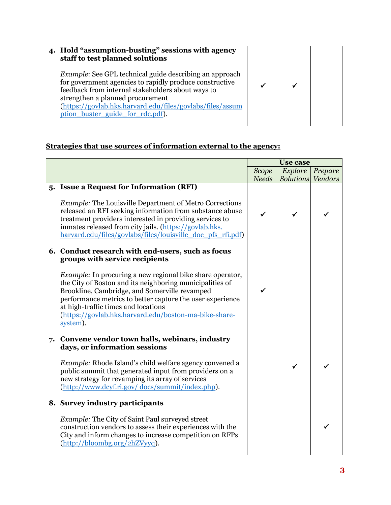| 4. Hold "assumption-busting" sessions with agency<br>staff to test planned solutions                                                                                                                                                                                                                                |  |  |
|---------------------------------------------------------------------------------------------------------------------------------------------------------------------------------------------------------------------------------------------------------------------------------------------------------------------|--|--|
| <i>Example:</i> See GPL technical guide describing an approach<br>for government agencies to rapidly produce constructive<br>feedback from internal stakeholders about ways to<br>strengthen a planned procurement<br>(https://govlab.hks.harvard.edu/files/govlabs/files/assum<br>ption buster guide for rdc.pdf). |  |  |

# **Strategies that use sources of information external to the agency:**

|                                                                                                                                                                                                                                                                                                                                                                                          | <b>Use case</b> |                   |         |
|------------------------------------------------------------------------------------------------------------------------------------------------------------------------------------------------------------------------------------------------------------------------------------------------------------------------------------------------------------------------------------------|-----------------|-------------------|---------|
|                                                                                                                                                                                                                                                                                                                                                                                          | <b>Scope</b>    | Explore           | Prepare |
|                                                                                                                                                                                                                                                                                                                                                                                          | <b>Needs</b>    | Solutions Vendors |         |
| 5. Issue a Request for Information (RFI)<br><i>Example:</i> The Louisville Department of Metro Corrections<br>released an RFI seeking information from substance abuse<br>treatment providers interested in providing services to<br>inmates released from city jails. (https://govlab.hks.<br>harvard.edu/files/govlabs/files/louisville doc pfs rfi.pdf)                               | ✓               | ✓                 |         |
| 6. Conduct research with end-users, such as focus                                                                                                                                                                                                                                                                                                                                        |                 |                   |         |
| groups with service recipients<br><i>Example:</i> In procuring a new regional bike share operator,<br>the City of Boston and its neighboring municipalities of<br>Brookline, Cambridge, and Somerville revamped<br>performance metrics to better capture the user experience<br>at high-traffic times and locations<br>(https://govlab.hks.harvard.edu/boston-ma-bike-share-<br>system). |                 |                   |         |
| 7. Convene vendor town halls, webinars, industry                                                                                                                                                                                                                                                                                                                                         |                 |                   |         |
| days, or information sessions<br>Example: Rhode Island's child welfare agency convened a<br>public summit that generated input from providers on a<br>new strategy for revamping its array of services<br>(http://www.dcyf.ri.gov/docs/summit/index.php).                                                                                                                                |                 | ✓                 |         |
| 8. Survey industry participants                                                                                                                                                                                                                                                                                                                                                          |                 |                   |         |
| <i>Example:</i> The City of Saint Paul surveyed street<br>construction vendors to assess their experiences with the<br>City and inform changes to increase competition on RFPs<br>(http://bloombg.org/2hZVyyq).                                                                                                                                                                          |                 |                   |         |